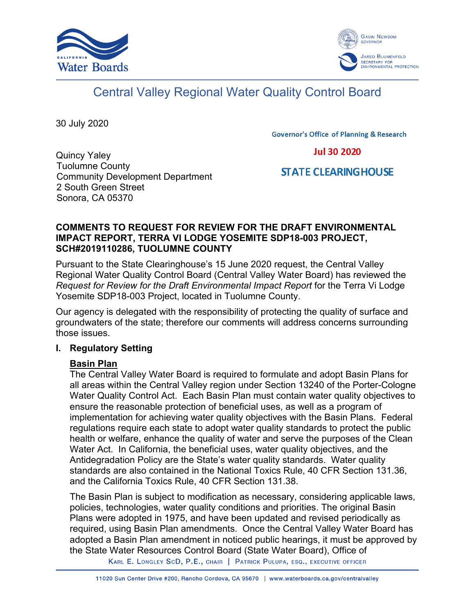



# Central Valley Regional Water Quality Control Board

30 July 2020

**Governor's Office of Planning & Research** 

**Jul 30 2020** 

#### Quincy Yaley Tuolumne County Community Development Department 2 South Green Street Sonora, CA 05370

# **STATE CLEARING HOUSE**

## **COMMENTS TO REQUEST FOR REVIEW FOR THE DRAFT ENVIRONMENTAL IMPACT REPORT, TERRA VI LODGE YOSEMITE SDP18-003 PROJECT, SCH#2019110286, TUOLUMNE COUNTY**

Pursuant to the State Clearinghouse's 15 June 2020 request, the Central Valley Regional Water Quality Control Board (Central Valley Water Board) has reviewed the *Request for Review for the Draft Environmental Impact Report* for the Terra Vi Lodge Yosemite SDP18-003 Project, located in Tuolumne County.

Our agency is delegated with the responsibility of protecting the quality of surface and groundwaters of the state; therefore our comments will address concerns surrounding those issues.

# **I. Regulatory Setting**

# **Basin Plan**

The Central Valley Water Board is required to formulate and adopt Basin Plans for all areas within the Central Valley region under Section 13240 of the Porter-Cologne Water Quality Control Act. Each Basin Plan must contain water quality objectives to ensure the reasonable protection of beneficial uses, as well as a program of implementation for achieving water quality objectives with the Basin Plans. Federal regulations require each state to adopt water quality standards to protect the public health or welfare, enhance the quality of water and serve the purposes of the Clean Water Act. In California, the beneficial uses, water quality objectives, and the Antidegradation Policy are the State's water quality standards. Water quality standards are also contained in the National Toxics Rule, 40 CFR Section 131.36, and the California Toxics Rule, 40 CFR Section 131.38.

The Basin Plan is subject to modification as necessary, considering applicable laws, policies, technologies, water quality conditions and priorities. The original Basin Plans were adopted in 1975, and have been updated and revised periodically as required, using Basin Plan amendments. Once the Central Valley Water Board has adopted a Basin Plan amendment in noticed public hearings, it must be approved by the State Water Resources Control Board (State Water Board), Office of

KARL E. LONGLEY SCD, P.E., CHAIR | PATRICK PULUPA, ESQ., EXECUTIVE OFFICER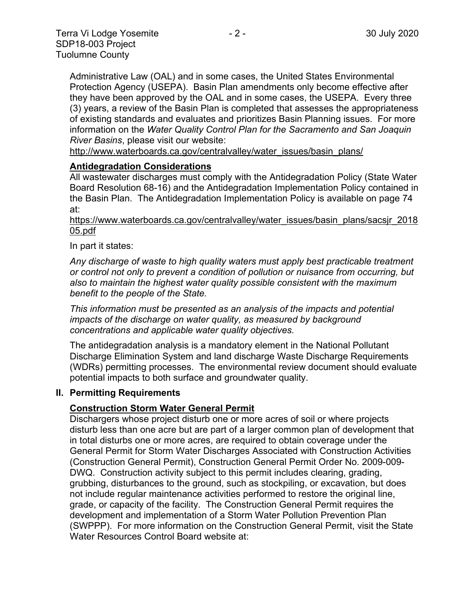Administrative Law (OAL) and in some cases, the United States Environmental Protection Agency (USEPA). Basin Plan amendments only become effective after they have been approved by the OAL and in some cases, the USEPA. Every three (3) years, a review of the Basin Plan is completed that assesses the appropriateness of existing standards and evaluates and prioritizes Basin Planning issues. For more information on the *Water Quality Control Plan for the Sacramento and San Joaquin River Basins*, please visit our website:

[http://www.waterboards.ca.gov/centralvalley/water\\_issues/basin\\_plans/](http://www.waterboards.ca.gov/centralvalley/water_issues/basin_plans/)

#### **Antidegradation Considerations**

All wastewater discharges must comply with the Antidegradation Policy (State Water Board Resolution 68-16) and the Antidegradation Implementation Policy contained in the Basin Plan. The Antidegradation Implementation Policy is available on page 74 at:

#### https://www.waterboards.ca.gov/centralvalley/water\_issues/basin\_plans/sacsjr\_2018 05.pdf

#### In part it states:

*Any discharge of waste to high quality waters must apply best practicable treatment or control not only to prevent a condition of pollution or nuisance from occurring, but also to maintain the highest water quality possible consistent with the maximum benefit to the people of the State.*

*This information must be presented as an analysis of the impacts and potential impacts of the discharge on water quality, as measured by background concentrations and applicable water quality objectives.*

The antidegradation analysis is a mandatory element in the National Pollutant Discharge Elimination System and land discharge Waste Discharge Requirements (WDRs) permitting processes. The environmental review document should evaluate potential impacts to both surface and groundwater quality.

#### **II. Permitting Requirements**

#### **Construction Storm Water General Permit**

Dischargers whose project disturb one or more acres of soil or where projects disturb less than one acre but are part of a larger common plan of development that in total disturbs one or more acres, are required to obtain coverage under the General Permit for Storm Water Discharges Associated with Construction Activities (Construction General Permit), Construction General Permit Order No. 2009-009- DWQ. Construction activity subject to this permit includes clearing, grading, grubbing, disturbances to the ground, such as stockpiling, or excavation, but does not include regular maintenance activities performed to restore the original line, grade, or capacity of the facility. The Construction General Permit requires the development and implementation of a Storm Water Pollution Prevention Plan (SWPPP). For more information on the Construction General Permit, visit the State Water Resources Control Board website at: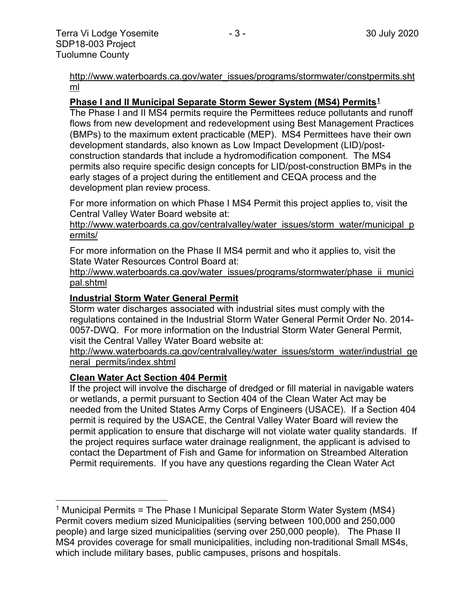[http://www.waterboards.ca.gov/water\\_issues/programs/stormwater/constpermits.sht](http://www.waterboards.ca.gov/water_issues/programs/stormwater/constpermits.shtml) [ml](http://www.waterboards.ca.gov/water_issues/programs/stormwater/constpermits.shtml)

#### **Phase I and II Municipal Separate Storm Sewer System (MS4) Permits[1](#page-2-0)**

The Phase I and II MS4 permits require the Permittees reduce pollutants and runoff flows from new development and redevelopment using Best Management Practices (BMPs) to the maximum extent practicable (MEP). MS4 Permittees have their own development standards, also known as Low Impact Development (LID)/postconstruction standards that include a hydromodification component. The MS4 permits also require specific design concepts for LID/post-construction BMPs in the early stages of a project during the entitlement and CEQA process and the development plan review process.

For more information on which Phase I MS4 Permit this project applies to, visit the Central Valley Water Board website at:

http://www.waterboards.ca.gov/centralvalley/water\_issues/storm\_water/municipal\_p ermits/

For more information on the Phase II MS4 permit and who it applies to, visit the State Water Resources Control Board at:

http://www.waterboards.ca.gov/water\_issues/programs/stormwater/phase\_ii\_munici pal.shtml

## **Industrial Storm Water General Permit**

Storm water discharges associated with industrial sites must comply with the regulations contained in the Industrial Storm Water General Permit Order No. 2014- 0057-DWQ. For more information on the Industrial Storm Water General Permit, visit the Central Valley Water Board website at:

http://www.waterboards.ca.gov/centralvalley/water\_issues/storm\_water/industrial\_ge neral\_permits/index.shtml

#### **Clean Water Act Section 404 Permit**

If the project will involve the discharge of dredged or fill material in navigable waters or wetlands, a permit pursuant to Section 404 of the Clean Water Act may be needed from the United States Army Corps of Engineers (USACE). If a Section 404 permit is required by the USACE, the Central Valley Water Board will review the permit application to ensure that discharge will not violate water quality standards. If the project requires surface water drainage realignment, the applicant is advised to contact the Department of Fish and Game for information on Streambed Alteration Permit requirements. If you have any questions regarding the Clean Water Act

<span id="page-2-0"></span><sup>&</sup>lt;sup>1</sup> Municipal Permits = The Phase I Municipal Separate Storm Water System (MS4) Permit covers medium sized Municipalities (serving between 100,000 and 250,000 people) and large sized municipalities (serving over 250,000 people). The Phase II MS4 provides coverage for small municipalities, including non-traditional Small MS4s, which include military bases, public campuses, prisons and hospitals.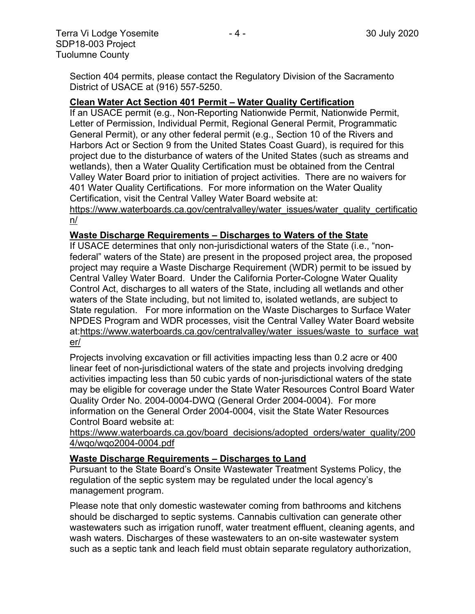Section 404 permits, please contact the Regulatory Division of the Sacramento District of USACE at (916) 557-5250.

#### **Clean Water Act Section 401 Permit – Water Quality Certification**

If an USACE permit (e.g., Non-Reporting Nationwide Permit, Nationwide Permit, Letter of Permission, Individual Permit, Regional General Permit, Programmatic General Permit), or any other federal permit (e.g., Section 10 of the Rivers and Harbors Act or Section 9 from the United States Coast Guard), is required for this project due to the disturbance of waters of the United States (such as streams and wetlands), then a Water Quality Certification must be obtained from the Central Valley Water Board prior to initiation of project activities. There are no waivers for 401 Water Quality Certifications. For more information on the Water Quality Certification, visit the Central Valley Water Board website at:

https://www.waterboards.ca.gov/centralvalley/water\_issues/water\_quality\_certificatio n/

#### **Waste Discharge Requirements – Discharges to Waters of the State**

If USACE determines that only non-jurisdictional waters of the State (i.e., "nonfederal" waters of the State) are present in the proposed project area, the proposed project may require a Waste Discharge Requirement (WDR) permit to be issued by Central Valley Water Board. Under the California Porter-Cologne Water Quality Control Act, discharges to all waters of the State, including all wetlands and other waters of the State including, but not limited to, isolated wetlands, are subject to State regulation. For more information on the Waste Discharges to Surface Water NPDES Program and WDR processes, visit the Central Valley Water Board website at:https://www.waterboards.ca.gov/centralvalley/water\_issues/waste\_to\_surface\_wat er/

Projects involving excavation or fill activities impacting less than 0.2 acre or 400 linear feet of non-jurisdictional waters of the state and projects involving dredging activities impacting less than 50 cubic yards of non-jurisdictional waters of the state may be eligible for coverage under the State Water Resources Control Board Water Quality Order No. 2004-0004-DWQ (General Order 2004-0004). For more information on the General Order 2004-0004, visit the State Water Resources Control Board website at:

https://www.waterboards.ca.gov/board\_decisions/adopted\_orders/water\_quality/200 4/wqo/wqo2004-0004.pdf

#### **Waste Discharge Requirements – Discharges to Land**

Pursuant to the State Board's Onsite Wastewater Treatment Systems Policy, the regulation of the septic system may be regulated under the local agency's management program.

Please note that only domestic wastewater coming from bathrooms and kitchens should be discharged to septic systems. Cannabis cultivation can generate other wastewaters such as irrigation runoff, water treatment effluent, cleaning agents, and wash waters. Discharges of these wastewaters to an on-site wastewater system such as a septic tank and leach field must obtain separate regulatory authorization,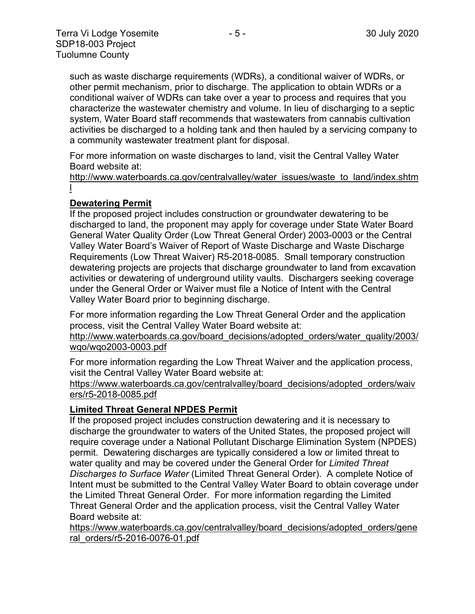such as waste discharge requirements (WDRs), a conditional waiver of WDRs, or other permit mechanism, prior to discharge. The application to obtain WDRs or a conditional waiver of WDRs can take over a year to process and requires that you characterize the wastewater chemistry and volume. In lieu of discharging to a septic system, Water Board staff recommends that wastewaters from cannabis cultivation activities be discharged to a holding tank and then hauled by a servicing company to a community wastewater treatment plant for disposal.

For more information on waste discharges to land, visit the Central Valley Water Board website at:

http://www.waterboards.ca.gov/centralvalley/water\_issues/waste\_to\_land/index.shtm l

# **Dewatering Permit**

If the proposed project includes construction or groundwater dewatering to be discharged to land, the proponent may apply for coverage under State Water Board General Water Quality Order (Low Threat General Order) 2003-0003 or the Central Valley Water Board's Waiver of Report of Waste Discharge and Waste Discharge Requirements (Low Threat Waiver) R5-2018-0085. Small temporary construction dewatering projects are projects that discharge groundwater to land from excavation activities or dewatering of underground utility vaults. Dischargers seeking coverage under the General Order or Waiver must file a Notice of Intent with the Central Valley Water Board prior to beginning discharge.

For more information regarding the Low Threat General Order and the application process, visit the Central Valley Water Board website at:

http://www.waterboards.ca.gov/board decisions/adopted orders/water quality/2003/ wqo/wqo2003-0003.pdf

For more information regarding the Low Threat Waiver and the application process, visit the Central Valley Water Board website at:

https://www.waterboards.ca.gov/centralvalley/board\_decisions/adopted\_orders/waiv ers/r5-2018-0085.pdf

# **Limited Threat General NPDES Permit**

If the proposed project includes construction dewatering and it is necessary to discharge the groundwater to waters of the United States, the proposed project will require coverage under a National Pollutant Discharge Elimination System (NPDES) permit. Dewatering discharges are typically considered a low or limited threat to water quality and may be covered under the General Order for *Limited Threat Discharges to Surface Water* (Limited Threat General Order). A complete Notice of Intent must be submitted to the Central Valley Water Board to obtain coverage under the Limited Threat General Order. For more information regarding the Limited Threat General Order and the application process, visit the Central Valley Water Board website at:

https://www.waterboards.ca.gov/centralvalley/board\_decisions/adopted\_orders/gene ral\_orders/r5-2016-0076-01.pdf